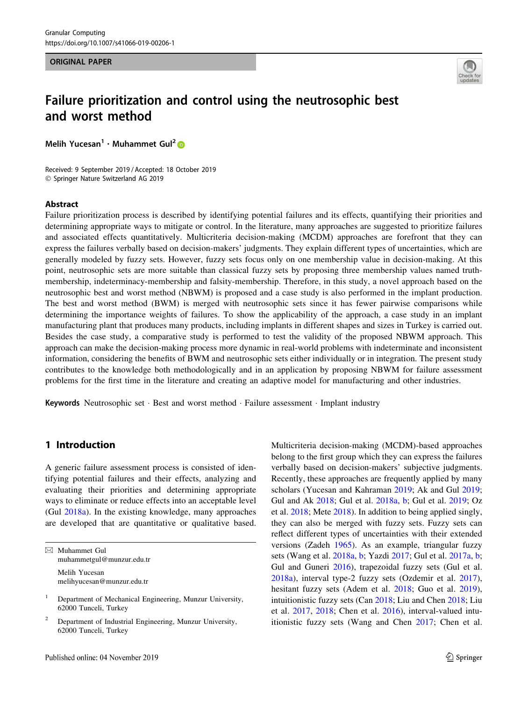ORIGINAL PAPER



## Failure prioritization and control using the neutrosophic best and worst method

Melih Yucesan<sup>1</sup> · Muhammet Gul<sup>[2](http://orcid.org/0000-0002-5319-4289)</sup>

Received: 9 September 2019 / Accepted: 18 October 2019 - Springer Nature Switzerland AG 2019

#### Abstract

Failure prioritization process is described by identifying potential failures and its effects, quantifying their priorities and determining appropriate ways to mitigate or control. In the literature, many approaches are suggested to prioritize failures and associated effects quantitatively. Multicriteria decision-making (MCDM) approaches are forefront that they can express the failures verbally based on decision-makers' judgments. They explain different types of uncertainties, which are generally modeled by fuzzy sets. However, fuzzy sets focus only on one membership value in decision-making. At this point, neutrosophic sets are more suitable than classical fuzzy sets by proposing three membership values named truthmembership, indeterminacy-membership and falsity-membership. Therefore, in this study, a novel approach based on the neutrosophic best and worst method (NBWM) is proposed and a case study is also performed in the implant production. The best and worst method (BWM) is merged with neutrosophic sets since it has fewer pairwise comparisons while determining the importance weights of failures. To show the applicability of the approach, a case study in an implant manufacturing plant that produces many products, including implants in different shapes and sizes in Turkey is carried out. Besides the case study, a comparative study is performed to test the validity of the proposed NBWM approach. This approach can make the decision-making process more dynamic in real-world problems with indeterminate and inconsistent information, considering the benefits of BWM and neutrosophic sets either individually or in integration. The present study contributes to the knowledge both methodologically and in an application by proposing NBWM for failure assessment problems for the first time in the literature and creating an adaptive model for manufacturing and other industries.

Keywords Neutrosophic set · Best and worst method · Failure assessment · Implant industry

## 1 Introduction

A generic failure assessment process is consisted of identifying potential failures and their effects, analyzing and evaluating their priorities and determining appropriate ways to eliminate or reduce effects into an acceptable level (Gul [2018a](#page-13-0)). In the existing knowledge, many approaches are developed that are quantitative or qualitative based.

| $\boxtimes$ Muhammet Gul<br>muhammetgul@munzur.edu.tr |
|-------------------------------------------------------|
| Melih Yucesan<br>melihyucesan@munzur.edu.tr           |

<sup>1</sup> Department of Mechanical Engineering, Munzur University, 62000 Tunceli, Turkey

Multicriteria decision-making (MCDM)-based approaches belong to the first group which they can express the failures verbally based on decision-makers' subjective judgments. Recently, these approaches are frequently applied by many scholars (Yucesan and Kahraman [2019;](#page-14-0) Ak and Gul [2019](#page-12-0); Gul and Ak [2018](#page-13-0); Gul et al. [2018a,](#page-13-0) [b](#page-13-0); Gul et al. [2019;](#page-13-0) Oz et al. [2018;](#page-13-0) Mete [2018](#page-13-0)). In addition to being applied singly, they can also be merged with fuzzy sets. Fuzzy sets can reflect different types of uncertainties with their extended versions (Zadeh [1965](#page-14-0)). As an example, triangular fuzzy sets (Wang et al. [2018a](#page-14-0), [b](#page-14-0); Yazdi [2017;](#page-14-0) Gul et al. [2017a](#page-13-0), [b](#page-13-0); Gul and Guneri [2016\)](#page-13-0), trapezoidal fuzzy sets (Gul et al. [2018a\)](#page-13-0), interval type-2 fuzzy sets (Ozdemir et al. [2017](#page-13-0)), hesitant fuzzy sets (Adem et al. [2018;](#page-12-0) Guo et al. [2019](#page-13-0)), intuitionistic fuzzy sets (Can [2018](#page-12-0); Liu and Chen [2018](#page-13-0); Liu et al. [2017](#page-13-0), [2018](#page-13-0); Chen et al. [2016\)](#page-12-0), interval-valued intuitionistic fuzzy sets (Wang and Chen [2017](#page-14-0); Chen et al.

<sup>&</sup>lt;sup>2</sup> Department of Industrial Engineering, Munzur University, 62000 Tunceli, Turkey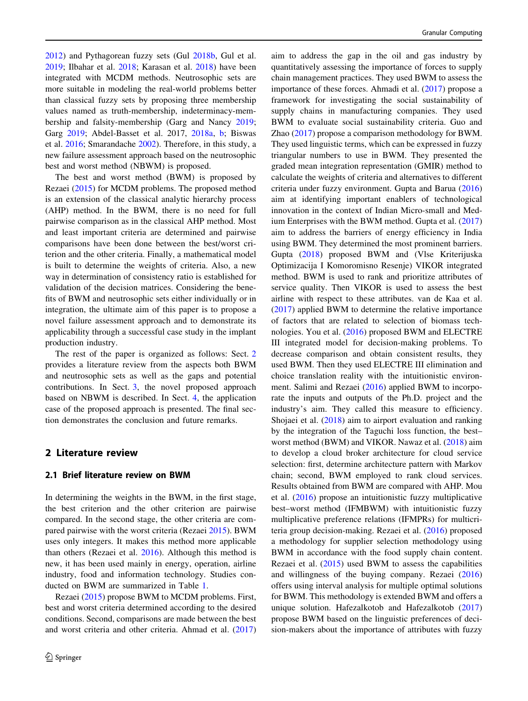[2012\)](#page-12-0) and Pythagorean fuzzy sets (Gul [2018b,](#page-13-0) Gul et al. [2019;](#page-13-0) Ilbahar et al. [2018;](#page-13-0) Karasan et al. [2018\)](#page-13-0) have been integrated with MCDM methods. Neutrosophic sets are more suitable in modeling the real-world problems better than classical fuzzy sets by proposing three membership values named as truth-membership, indeterminacy-membership and falsity-membership (Garg and Nancy [2019](#page-13-0); Garg [2019;](#page-12-0) Abdel-Basset et al. 2017, [2018a](#page-12-0), [b;](#page-12-0) Biswas et al. [2016;](#page-12-0) Smarandache [2002](#page-14-0)). Therefore, in this study, a new failure assessment approach based on the neutrosophic best and worst method (NBWM) is proposed.

The best and worst method (BWM) is proposed by Rezaei [\(2015](#page-13-0)) for MCDM problems. The proposed method is an extension of the classical analytic hierarchy process (AHP) method. In the BWM, there is no need for full pairwise comparison as in the classical AHP method. Most and least important criteria are determined and pairwise comparisons have been done between the best/worst criterion and the other criteria. Finally, a mathematical model is built to determine the weights of criteria. Also, a new way in determination of consistency ratio is established for validation of the decision matrices. Considering the benefits of BWM and neutrosophic sets either individually or in integration, the ultimate aim of this paper is to propose a novel failure assessment approach and to demonstrate its applicability through a successful case study in the implant production industry.

The rest of the paper is organized as follows: Sect. 2 provides a literature review from the aspects both BWM and neutrosophic sets as well as the gaps and potential contributions. In Sect. [3,](#page-3-0) the novel proposed approach based on NBWM is described. In Sect. [4](#page-5-0), the application case of the proposed approach is presented. The final section demonstrates the conclusion and future remarks.

## 2 Literature review

#### 2.1 Brief literature review on BWM

In determining the weights in the BWM, in the first stage, the best criterion and the other criterion are pairwise compared. In the second stage, the other criteria are compared pairwise with the worst criteria (Rezaei [2015\)](#page-13-0). BWM uses only integers. It makes this method more applicable than others (Rezaei et al. [2016](#page-14-0)). Although this method is new, it has been used mainly in energy, operation, airline industry, food and information technology. Studies conducted on BWM are summarized in Table [1.](#page-2-0)

Rezaei [\(2015](#page-13-0)) propose BWM to MCDM problems. First, best and worst criteria determined according to the desired conditions. Second, comparisons are made between the best and worst criteria and other criteria. Ahmad et al. ([2017\)](#page-12-0)

aim to address the gap in the oil and gas industry by quantitatively assessing the importance of forces to supply chain management practices. They used BWM to assess the importance of these forces. Ahmadi et al. [\(2017](#page-12-0)) propose a framework for investigating the social sustainability of supply chains in manufacturing companies. They used BWM to evaluate social sustainability criteria. Guo and Zhao [\(2017](#page-13-0)) propose a comparison methodology for BWM. They used linguistic terms, which can be expressed in fuzzy triangular numbers to use in BWM. They presented the graded mean integration representation (GMIR) method to calculate the weights of criteria and alternatives to different criteria under fuzzy environment. Gupta and Barua ([2016\)](#page-13-0) aim at identifying important enablers of technological innovation in the context of Indian Micro-small and Medium Enterprises with the BWM method. Gupta et al. ([2017\)](#page-13-0) aim to address the barriers of energy efficiency in India using BWM. They determined the most prominent barriers. Gupta ([2018\)](#page-13-0) proposed BWM and (Vlse Kriterijuska Optimizacija I Komoromisno Resenje) VIKOR integrated method. BWM is used to rank and prioritize attributes of service quality. Then VIKOR is used to assess the best airline with respect to these attributes. van de Kaa et al. [\(2017](#page-14-0)) applied BWM to determine the relative importance of factors that are related to selection of biomass technologies. You et al. ([2016](#page-14-0)) proposed BWM and ELECTRE III integrated model for decision-making problems. To decrease comparison and obtain consistent results, they used BWM. Then they used ELECTRE III elimination and choice translation reality with the intuitionistic environment. Salimi and Rezaei [\(2016](#page-14-0)) applied BWM to incorporate the inputs and outputs of the Ph.D. project and the industry's aim. They called this measure to efficiency. Shojaei et al. ([2018\)](#page-14-0) aim to airport evaluation and ranking by the integration of the Taguchi loss function, the best– worst method (BWM) and VIKOR. Nawaz et al. ([2018\)](#page-13-0) aim to develop a cloud broker architecture for cloud service selection: first, determine architecture pattern with Markov chain; second, BWM employed to rank cloud services. Results obtained from BWM are compared with AHP. Mou et al. ([2016](#page-13-0)) propose an intuitionistic fuzzy multiplicative best–worst method (IFMBWM) with intuitionistic fuzzy multiplicative preference relations (IFMPRs) for multicriteria group decision-making. Rezaei et al. [\(2016](#page-14-0)) proposed a methodology for supplier selection methodology using BWM in accordance with the food supply chain content. Rezaei et al. ([2015\)](#page-14-0) used BWM to assess the capabilities and willingness of the buying company. Rezaei ([2016\)](#page-14-0) offers using interval analysis for multiple optimal solutions for BWM. This methodology is extended BWM and offers a unique solution. Hafezalkotob and Hafezalkotob ([2017\)](#page-13-0) propose BWM based on the linguistic preferences of decision-makers about the importance of attributes with fuzzy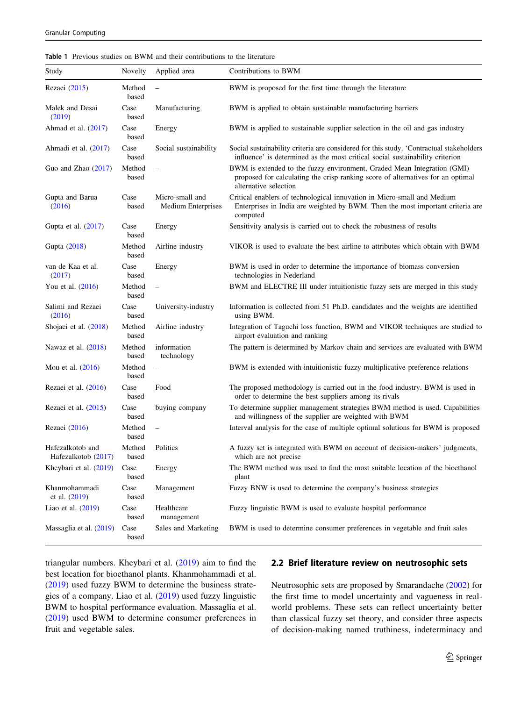<span id="page-2-0"></span>

| <b>Table 1</b> Previous studies on BWM and their contributions to the literature |
|----------------------------------------------------------------------------------|
|----------------------------------------------------------------------------------|

| Study                                   | Novelty         | Applied area                                 | Contributions to BWM                                                                                                                                                                |
|-----------------------------------------|-----------------|----------------------------------------------|-------------------------------------------------------------------------------------------------------------------------------------------------------------------------------------|
| Rezaei (2015)                           | Method<br>based | $\overline{\phantom{a}}$                     | BWM is proposed for the first time through the literature                                                                                                                           |
| Malek and Desai<br>(2019)               | Case<br>based   | Manufacturing                                | BWM is applied to obtain sustainable manufacturing barriers                                                                                                                         |
| Ahmad et al. $(2017)$                   | Case<br>based   | Energy                                       | BWM is applied to sustainable supplier selection in the oil and gas industry                                                                                                        |
| Ahmadi et al. (2017)                    | Case<br>based   | Social sustainability                        | Social sustainability criteria are considered for this study. 'Contractual stakeholders'<br>influence' is determined as the most critical social sustainability criterion           |
| Guo and Zhao $(2017)$                   | Method<br>based | $\qquad \qquad -$                            | BWM is extended to the fuzzy environment, Graded Mean Integration (GMI)<br>proposed for calculating the crisp ranking score of alternatives for an optimal<br>alternative selection |
| Gupta and Barua<br>(2016)               | Case<br>based   | Micro-small and<br><b>Medium Enterprises</b> | Critical enablers of technological innovation in Micro-small and Medium<br>Enterprises in India are weighted by BWM. Then the most important criteria are<br>computed               |
| Gupta et al. $(2017)$                   | Case<br>based   | Energy                                       | Sensitivity analysis is carried out to check the robustness of results                                                                                                              |
| Gupta (2018)                            | Method<br>based | Airline industry                             | VIKOR is used to evaluate the best airline to attributes which obtain with BWM                                                                                                      |
| van de Kaa et al.<br>(2017)             | Case<br>based   | Energy                                       | BWM is used in order to determine the importance of biomass conversion<br>technologies in Nederland                                                                                 |
| You et al. (2016)                       | Method<br>based | $\overline{\phantom{a}}$                     | BWM and ELECTRE III under intuitionistic fuzzy sets are merged in this study                                                                                                        |
| Salimi and Rezaei<br>(2016)             | Case<br>based   | University-industry                          | Information is collected from 51 Ph.D. candidates and the weights are identified<br>using BWM.                                                                                      |
| Shojaei et al. (2018)                   | Method<br>based | Airline industry                             | Integration of Taguchi loss function, BWM and VIKOR techniques are studied to<br>airport evaluation and ranking                                                                     |
| Nawaz et al. $(2018)$                   | Method<br>based | information<br>technology                    | The pattern is determined by Markov chain and services are evaluated with BWM                                                                                                       |
| Mou et al. (2016)                       | Method<br>based | $\overline{\phantom{a}}$                     | BWM is extended with intuitionistic fuzzy multiplicative preference relations                                                                                                       |
| Rezaei et al. $(2016)$                  | Case<br>based   | Food                                         | The proposed methodology is carried out in the food industry. BWM is used in<br>order to determine the best suppliers among its rivals                                              |
| Rezaei et al. (2015)                    | Case<br>based   | buying company                               | To determine supplier management strategies BWM method is used. Capabilities<br>and willingness of the supplier are weighted with BWM                                               |
| Rezaei (2016)                           | Method<br>based | $\overline{\phantom{a}}$                     | Interval analysis for the case of multiple optimal solutions for BWM is proposed                                                                                                    |
| Hafezalkotob and<br>Hafezalkotob (2017) | Method<br>based | Politics                                     | A fuzzy set is integrated with BWM on account of decision-makers' judgments,<br>which are not precise                                                                               |
| Kheybari et al. $(2019)$                | Case<br>based   | Energy                                       | The BWM method was used to find the most suitable location of the bioethanol<br>plant                                                                                               |
| Khanmohammadi<br>et al. $(2019)$        | Case<br>based   | Management                                   | Fuzzy BNW is used to determine the company's business strategies                                                                                                                    |
| Liao et al. (2019)                      | Case<br>based   | Healthcare<br>management                     | Fuzzy linguistic BWM is used to evaluate hospital performance                                                                                                                       |
| Massaglia et al. (2019)                 | Case<br>based   | Sales and Marketing                          | BWM is used to determine consumer preferences in vegetable and fruit sales                                                                                                          |

triangular numbers. Kheybari et al. ([2019\)](#page-13-0) aim to find the best location for bioethanol plants. Khanmohammadi et al. [\(2019](#page-13-0)) used fuzzy BWM to determine the business strategies of a company. Liao et al. ([2019\)](#page-13-0) used fuzzy linguistic BWM to hospital performance evaluation. Massaglia et al. [\(2019](#page-13-0)) used BWM to determine consumer preferences in fruit and vegetable sales.

#### 2.2 Brief literature review on neutrosophic sets

Neutrosophic sets are proposed by Smarandache ([2002\)](#page-14-0) for the first time to model uncertainty and vagueness in realworld problems. These sets can reflect uncertainty better than classical fuzzy set theory, and consider three aspects of decision-making named truthiness, indeterminacy and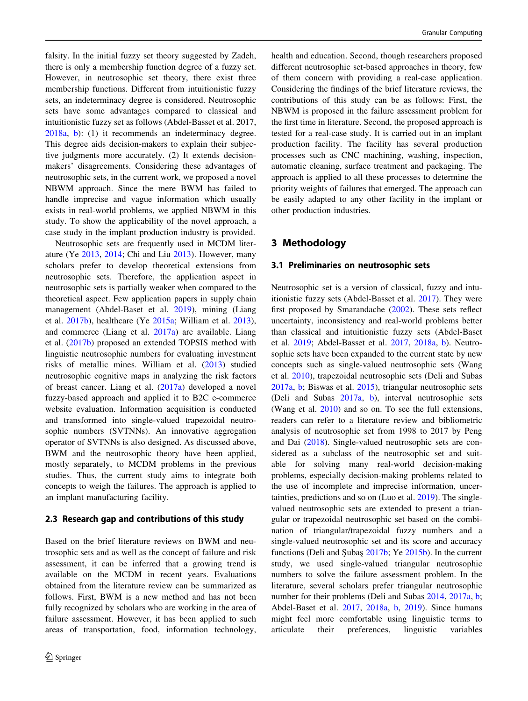<span id="page-3-0"></span>falsity. In the initial fuzzy set theory suggested by Zadeh, there is only a membership function degree of a fuzzy set. However, in neutrosophic set theory, there exist three membership functions. Different from intuitionistic fuzzy sets, an indeterminacy degree is considered. Neutrosophic sets have some advantages compared to classical and intuitionistic fuzzy set as follows (Abdel-Basset et al. 2017, [2018a](#page-12-0), [b](#page-12-0)): (1) it recommends an indeterminacy degree. This degree aids decision-makers to explain their subjective judgments more accurately. (2) It extends decisionmakers' disagreements. Considering these advantages of neutrosophic sets, in the current work, we proposed a novel NBWM approach. Since the mere BWM has failed to handle imprecise and vague information which usually exists in real-world problems, we applied NBWM in this study. To show the applicability of the novel approach, a case study in the implant production industry is provided.

Neutrosophic sets are frequently used in MCDM literature (Ye [2013](#page-14-0), [2014;](#page-14-0) Chi and Liu [2013\)](#page-12-0). However, many scholars prefer to develop theoretical extensions from neutrosophic sets. Therefore, the application aspect in neutrosophic sets is partially weaker when compared to the theoretical aspect. Few application papers in supply chain management (Abdel-Baset et al. [2019](#page-12-0)), mining (Liang et al. [2017b\)](#page-13-0), healthcare (Ye [2015a;](#page-14-0) William et al. [2013](#page-14-0)), and commerce (Liang et al. [2017a\)](#page-13-0) are available. Liang et al. ([2017b\)](#page-13-0) proposed an extended TOPSIS method with linguistic neutrosophic numbers for evaluating investment risks of metallic mines. William et al. [\(2013](#page-14-0)) studied neutrosophic cognitive maps in analyzing the risk factors of breast cancer. Liang et al. ([2017a](#page-13-0)) developed a novel fuzzy-based approach and applied it to B2C e-commerce website evaluation. Information acquisition is conducted and transformed into single-valued trapezoidal neutrosophic numbers (SVTNNs). An innovative aggregation operator of SVTNNs is also designed. As discussed above, BWM and the neutrosophic theory have been applied, mostly separately, to MCDM problems in the previous studies. Thus, the current study aims to integrate both concepts to weigh the failures. The approach is applied to an implant manufacturing facility.

#### 2.3 Research gap and contributions of this study

Based on the brief literature reviews on BWM and neutrosophic sets and as well as the concept of failure and risk assessment, it can be inferred that a growing trend is available on the MCDM in recent years. Evaluations obtained from the literature review can be summarized as follows. First, BWM is a new method and has not been fully recognized by scholars who are working in the area of failure assessment. However, it has been applied to such areas of transportation, food, information technology,

health and education. Second, though researchers proposed different neutrosophic set-based approaches in theory, few of them concern with providing a real-case application. Considering the findings of the brief literature reviews, the contributions of this study can be as follows: First, the NBWM is proposed in the failure assessment problem for the first time in literature. Second, the proposed approach is tested for a real-case study. It is carried out in an implant production facility. The facility has several production processes such as CNC machining, washing, inspection, automatic cleaning, surface treatment and packaging. The approach is applied to all these processes to determine the priority weights of failures that emerged. The approach can be easily adapted to any other facility in the implant or other production industries.

## 3 Methodology

#### 3.1 Preliminaries on neutrosophic sets

Neutrosophic set is a version of classical, fuzzy and intuitionistic fuzzy sets (Abdel-Basset et al. [2017\)](#page-12-0). They were first proposed by Smarandache [\(2002](#page-14-0)). These sets reflect uncertainty, inconsistency and real-world problems better than classical and intuitionistic fuzzy sets (Abdel-Baset et al. [2019](#page-12-0); Abdel-Basset et al. [2017,](#page-12-0) [2018a,](#page-12-0) [b](#page-12-0)). Neutrosophic sets have been expanded to the current state by new concepts such as single-valued neutrosophic sets (Wang et al. [2010](#page-14-0)), trapezoidal neutrosophic sets (Deli and Subas [2017a,](#page-12-0) [b](#page-12-0); Biswas et al. [2015\)](#page-12-0), triangular neutrosophic sets (Deli and Subas [2017a](#page-12-0), [b](#page-12-0)), interval neutrosophic sets (Wang et al. [2010](#page-14-0)) and so on. To see the full extensions, readers can refer to a literature review and bibliometric analysis of neutrosophic set from 1998 to 2017 by Peng and Dai [\(2018](#page-13-0)). Single-valued neutrosophic sets are considered as a subclass of the neutrosophic set and suitable for solving many real-world decision-making problems, especially decision-making problems related to the use of incomplete and imprecise information, uncertainties, predictions and so on (Luo et al. [2019\)](#page-13-0). The singlevalued neutrosophic sets are extended to present a triangular or trapezoidal neutrosophic set based on the combination of triangular/trapezoidal fuzzy numbers and a single-valued neutrosophic set and its score and accuracy functions (Deli and Subas  $2017b$ ; Ye  $2015b$ ). In the current study, we used single-valued triangular neutrosophic numbers to solve the failure assessment problem. In the literature, several scholars prefer triangular neutrosophic number for their problems (Deli and Subas [2014,](#page-12-0) [2017a](#page-12-0), [b](#page-12-0); Abdel-Baset et al. [2017](#page-12-0), [2018a,](#page-12-0) [b](#page-12-0), [2019](#page-12-0)). Since humans might feel more comfortable using linguistic terms to articulate their preferences, linguistic variables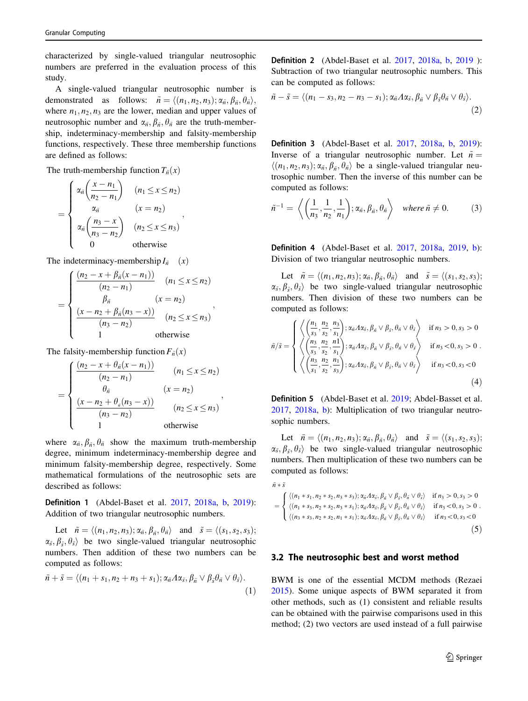characterized by single-valued triangular neutrosophic numbers are preferred in the evaluation process of this study.

A single-valued triangular neutrosophic number is demonstrated as follows:  $\tilde{n} = \langle (n_1, n_2, n_3); \alpha_{\tilde{n}}, \beta_{\tilde{n}}, \theta_{\tilde{n}} \rangle$ , where  $n_1, n_2, n_3$  are the lower, median and upper values of neutrosophic number and  $\alpha_{\tilde{n}}$ ,  $\beta_{\tilde{n}}$ ,  $\theta_{\tilde{n}}$  are the truth-membership, indeterminacy-membership and falsity-membership functions, respectively. These three membership functions are defined as follows:

The truth-membership function  $T_{n}(x)$ 

$$
= \begin{cases} \alpha_{\bar{n}}\left(\frac{x-n_1}{n_2-n_1}\right) & (n_1 \leq x \leq n_2) \\ \alpha_{\bar{n}} & (x=n_2) \\ \alpha_{\bar{n}}\left(\frac{n_3-x}{n_3-n_2}\right) & (n_2 \leq x \leq n_3) \\ 0 & \text{otherwise} \end{cases}
$$

The indeterminacy-membership  $I_{\tilde{n}}$  (x)

$$
= \begin{cases} \frac{(n_2 - x + \beta_{\tilde{n}}(x - n_1))}{(n_2 - n_1)} & (n_1 \le x \le n_2) \\ \beta_{\tilde{n}} & (x = n_2) \\ \frac{(x - n_2 + \beta_{\tilde{n}}(n_3 - x))}{(n_3 - n_2)} & (n_2 \le x \le n_3) \\ 1 & \text{otherwise} \end{cases},
$$

The falsity-membership function  $F_{n}(x)$ 

$$
= \begin{cases} \frac{(n_2 - x + \theta_{\tilde{n}}(x - n_1))}{(n_2 - n_1)} & (n_1 \le x \le n_2) \\ \frac{\theta_{\tilde{n}}}{(n_2 - n_2)} & (x = n_2) \\ \frac{(x - n_2 + \theta_{\tilde{n}}(n_3 - x))}{(n_3 - n_2)} & (n_2 \le x \le n_3) \\ 1 & \text{otherwise} \end{cases},
$$

where  $\alpha_{\tilde{n}}$ ,  $\beta_{\tilde{n}}$ ,  $\theta_{\tilde{n}}$  show the maximum truth-membership degree, minimum indeterminacy-membership degree and minimum falsity-membership degree, respectively. Some mathematical formulations of the neutrosophic sets are described as follows:

Definition 1 (Abdel-Baset et al. [2017](#page-12-0), [2018a,](#page-12-0) [b](#page-12-0), [2019](#page-12-0)): Addition of two triangular neutrosophic numbers.

Let  $\tilde{n} = \langle (n_1, n_2, n_3); \alpha_{\tilde{n}}, \beta_{\tilde{n}}, \theta_{\tilde{n}} \rangle$  and  $\tilde{s} = \langle (s_1, s_2, s_3);$  $\alpha_{\tilde{s}}, \beta_{\tilde{s}}, \theta_{\tilde{s}}$  be two single-valued triangular neutrosophic numbers. Then addition of these two numbers can be computed as follows:

$$
\tilde{n} + \tilde{s} = \langle (n_1 + s_1, n_2 + n_3 + s_1); \alpha_{\tilde{n}} A \alpha_{\tilde{s}}, \beta_{\tilde{n}} \vee \beta_{\tilde{s}} \theta_{\tilde{n}} \vee \theta_{\tilde{s}} \rangle.
$$
\n(1)

Definition 2 (Abdel-Baset et al. [2017](#page-12-0), [2018a](#page-12-0), [b,](#page-12-0) [2019](#page-12-0) ): Subtraction of two triangular neutrosophic numbers. This can be computed as follows:

$$
\tilde{n} - \tilde{s} = \langle (n_1 - s_3, n_2 - n_3 - s_1); \alpha_{\tilde{n}} A \alpha_{\tilde{s}}, \beta_{\tilde{n}} \vee \beta_{\tilde{s}} \theta_{\tilde{n}} \vee \theta_{\tilde{s}} \rangle.
$$
\n(2)

Definition 3 (Abdel-Baset et al. [2017,](#page-12-0) [2018a](#page-12-0), [b](#page-12-0), [2019](#page-12-0)): Inverse of a triangular neutrosophic number. Let  $\tilde{n} =$  $\langle (n_1, n_2, n_3); \alpha_{\tilde{n}}, \beta_{\tilde{n}}, \theta_{\tilde{n}} \rangle$  be a single-valued triangular neutrosophic number. Then the inverse of this number can be computed as follows:

$$
\tilde{n}^{-1} = \left\langle \left( \frac{1}{n_3}, \frac{1}{n_2}, \frac{1}{n_1} \right); \alpha_{\tilde{n}}, \beta_{\tilde{n}}, \theta_{\tilde{n}} \right\rangle \quad \text{where } \tilde{n} \neq 0. \tag{3}
$$

Definition 4 (Abdel-Baset et al. [2017,](#page-12-0) [2018a](#page-12-0), [2019](#page-12-0), [b](#page-12-0)): Division of two triangular neutrosophic numbers.

Let  $\tilde{n} = \langle (n_1, n_2, n_3); \alpha_{\tilde{n}}, \beta_{\tilde{n}}, \theta_{\tilde{n}} \rangle$  and  $\tilde{s} = \langle (s_1, s_2, s_3);$  $\alpha_{\tilde{s}}, \beta_{\tilde{s}}, \theta_{\tilde{s}}$  be two single-valued triangular neutrosophic numbers. Then division of these two numbers can be computed as follows:

$$
\tilde{n}/\tilde{s} = \begin{cases}\n\left\langle \left(\frac{n_1}{s_3}, \frac{n_2}{s_2}, \frac{n_3}{s_1}\right); \alpha_{\tilde{n}} A \alpha_{\tilde{s}}, \beta_{\tilde{n}} \vee \beta_{\tilde{s}}, \theta_{\tilde{n}} \vee \theta_{\tilde{s}} \right\rangle & \text{if } n_3 > 0, s_3 > 0 \\
\left\langle \left(\frac{n_3}{s_3}, \frac{n_2}{s_2}, \frac{n_1}{s_1}\right); \alpha_{\tilde{n}} A \alpha_{\tilde{s}}, \beta_{\tilde{n}} \vee \beta_{\tilde{s}}, \theta_{\tilde{n}} \vee \theta_{\tilde{s}} \right\rangle & \text{if } n_3 < 0, s_3 > 0 \\
\left\langle \left(\frac{n_3}{s_1}, \frac{n_2}{s_2}, \frac{n_1}{s_3}\right); \alpha_{\tilde{n}} A \alpha_{\tilde{s}}, \beta_{\tilde{n}} \vee \beta_{\tilde{s}}, \theta_{\tilde{n}} \vee \theta_{\tilde{s}} \right\rangle & \text{if } n_3 < 0, s_3 < 0\n\end{cases}
$$
\n(4)

Definition 5 (Abdel-Baset et al. [2019](#page-12-0); Abdel-Basset et al. [2017](#page-12-0), [2018a](#page-12-0), [b\)](#page-12-0): Multiplication of two triangular neutrosophic numbers.

Let  $\tilde{n} = \langle (n_1, n_2, n_3); \alpha_{\tilde{n}}, \beta_{\tilde{n}}, \theta_{\tilde{n}} \rangle$  and  $\tilde{s} = \langle (s_1, s_2, s_3);$  $\alpha_{\tilde{s}}, \beta_{\tilde{s}}, \theta_{\tilde{s}}$  be two single-valued triangular neutrosophic numbers. Then multiplication of these two numbers can be computed as follows:

$$
\tilde{n} * \tilde{s}
$$

$$
= \begin{cases} \langle (n_1 * s_1, n_2 * s_2, n_3 * s_3); \alpha_{\tilde{n}} \Lambda \alpha_{\tilde{s}}, \beta_{\tilde{n}} \vee \beta_{\tilde{s}}, \theta_{\tilde{n}} \vee \theta_{\tilde{s}} \rangle & \text{if } n_3 > 0, s_3 > 0 \\ \langle (n_1 * s_3, n_2 * s_2, n_3 * s_1); \alpha_{\tilde{n}} \Lambda \alpha_{\tilde{s}}, \beta_{\tilde{n}} \vee \beta_{\tilde{s}}, \theta_{\tilde{n}} \vee \theta_{\tilde{s}} \rangle & \text{if } n_3 < 0, s_3 > 0 \\ \langle (n_3 * s_3, n_2 * s_2, n_1 * s_1); \alpha_{\tilde{n}} \Lambda \alpha_{\tilde{s}}, \beta_{\tilde{n}} \vee \beta_{\tilde{s}}, \theta_{\tilde{n}} \vee \theta_{\tilde{s}} \rangle & \text{if } n_3 < 0, s_3 < 0 \end{cases} \tag{5}
$$

#### 3.2 The neutrosophic best and worst method

BWM is one of the essential MCDM methods (Rezaei [2015](#page-13-0)). Some unique aspects of BWM separated it from other methods, such as (1) consistent and reliable results can be obtained with the pairwise comparisons used in this method; (2) two vectors are used instead of a full pairwise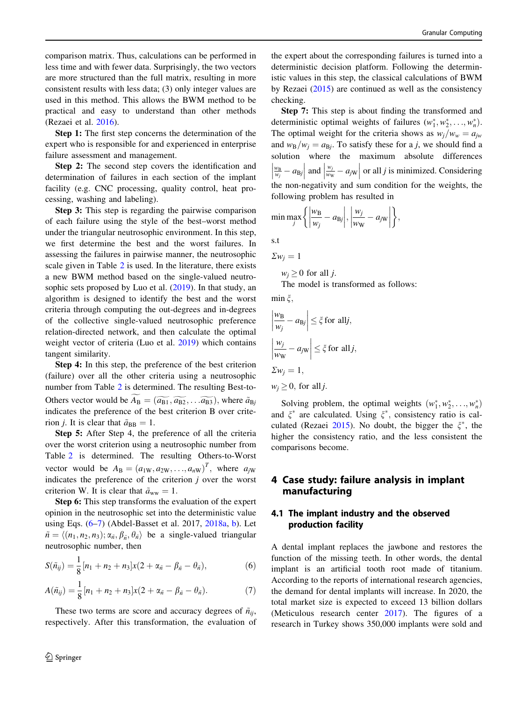<span id="page-5-0"></span>comparison matrix. Thus, calculations can be performed in less time and with fewer data. Surprisingly, the two vectors are more structured than the full matrix, resulting in more consistent results with less data; (3) only integer values are used in this method. This allows the BWM method to be practical and easy to understand than other methods (Rezaei et al. [2016\)](#page-14-0).

Step 1: The first step concerns the determination of the expert who is responsible for and experienced in enterprise failure assessment and management.

Step 2: The second step covers the identification and determination of failures in each section of the implant facility (e.g. CNC processing, quality control, heat processing, washing and labeling).

Step 3: This step is regarding the pairwise comparison of each failure using the style of the best–worst method under the triangular neutrosophic environment. In this step, we first determine the best and the worst failures. In assessing the failures in pairwise manner, the neutrosophic scale given in Table [2](#page-6-0) is used. In the literature, there exists a new BWM method based on the single-valued neutrosophic sets proposed by Luo et al.  $(2019)$  $(2019)$ . In that study, an algorithm is designed to identify the best and the worst criteria through computing the out-degrees and in-degrees of the collective single-valued neutrosophic preference relation-directed network, and then calculate the optimal weight vector of criteria (Luo et al. [2019\)](#page-13-0) which contains tangent similarity.

Step 4: In this step, the preference of the best criterion (failure) over all the other criteria using a neutrosophic number from Table [2](#page-6-0) is determined. The resulting Best-to-Others vector would be  $A_B = (\widetilde{a_{B1}}, \widetilde{a_{B2}}, \ldots \widetilde{a_{B3}})$ , where  $\widetilde{a}_{Bj}$ indicates the preference of the best criterion B over criterion *j*. It is clear that  $\tilde{a}_{\text{BB}} = 1$ .

Step 5: After Step 4, the preference of all the criteria over the worst criterion using a neutrosophic number from Table [2](#page-6-0) is determined. The resulting Others-to-Worst vector would be  $A_B = (a_{1W}, a_{2W}, \dots, a_{nW})^T$ , where  $a_{jW}$ indicates the preference of the criterion  $j$  over the worst criterion W. It is clear that  $\tilde{a}_{ww} = 1$ .

Step 6: This step transforms the evaluation of the expert opinion in the neutrosophic set into the deterministic value using Eqs. (6–7) (Abdel-Basset et al. 2017, [2018a,](#page-12-0) [b\)](#page-12-0). Let  $\tilde{n} = \langle (n_1, n_2, n_3); \alpha_{\tilde{n}}, \beta_{\tilde{n}}, \theta_{\tilde{n}} \rangle$  be a single-valued triangular neutrosophic number, then

$$
S(\tilde{n}_{ij}) = \frac{1}{8} [n_1 + n_2 + n_3] x (2 + \alpha_{\tilde{n}} - \beta_{\tilde{n}} - \theta_{\tilde{n}}),
$$
 (6)

$$
A(\tilde{n}_{ij}) = \frac{1}{8} [n_1 + n_2 + n_3] x (2 + \alpha_{\tilde{n}} - \beta_{\tilde{n}} - \theta_{\tilde{n}}).
$$
 (7)

These two terms are score and accuracy degrees of  $\tilde{n}_{ii}$ , respectively. After this transformation, the evaluation of the expert about the corresponding failures is turned into a deterministic decision platform. Following the deterministic values in this step, the classical calculations of BWM by Rezaei [\(2015](#page-13-0)) are continued as well as the consistency checking.

Step 7: This step is about finding the transformed and deterministic optimal weights of failures  $(w_1^*, w_2^*, \ldots, w_n^*)$ . The optimal weight for the criteria shows as  $w_i/w_w = a_{iw}$ and  $w_B/w_i = a_{B_i}$ . To satisfy these for a j, we should find a solution where the maximum absolute differences  $\frac{w_B}{w_j} - a_{\text{B}j}$  $\begin{array}{c} \begin{array}{c} \hline \end{array} \\ \hline \end{array}$ and  $\frac{w_j}{w_w} - a_j w$  $\overline{\phantom{a}}$ or all  $j$  is minimized. Considering the non-negativity and sum condition for the weights, the following problem has resulted in

$$
\min \max_{j} \left\{ \left| \frac{w_{\rm B}}{w_j} - a_{\rm Bj} \right|, \left| \frac{w_j}{w_{\rm W}} - a_{\rm jW} \right| \right\},\,
$$

s.t

$$
\Sigma w_j = 1
$$

 $w_i > 0$  for all *i*.

The model is transformed as follows:

min  $\xi$ ,

$$
\left|\frac{w_{\text{B}}}{w_j} - a_{\text{B}j}\right| \le \xi \text{ for all } j,
$$
  

$$
\left|\frac{w_j}{w_{\text{W}}} - a_{j\text{W}}\right| \le \xi \text{ for all } j,
$$
  

$$
\Sigma w_j = 1,
$$
  

$$
w_j \ge 0, \text{ for all } j.
$$

Solving problem, the optimal weights  $(w_1^*, w_2^*, \ldots, w_n^*)$ and  $\xi^*$  are calculated. Using  $\xi^*$ , consistency ratio is cal-culated (Rezaei [2015\)](#page-13-0). No doubt, the bigger the  $\xi^*$ , the higher the consistency ratio, and the less consistent the comparisons become.

## 4 Case study: failure analysis in implant manufacturing

## 4.1 The implant industry and the observed production facility

A dental implant replaces the jawbone and restores the function of the missing teeth. In other words, the dental implant is an artificial tooth root made of titanium. According to the reports of international research agencies, the demand for dental implants will increase. In 2020, the total market size is expected to exceed 13 billion dollars (Meticulous research center [2017](#page-13-0)). The figures of a research in Turkey shows 350,000 implants were sold and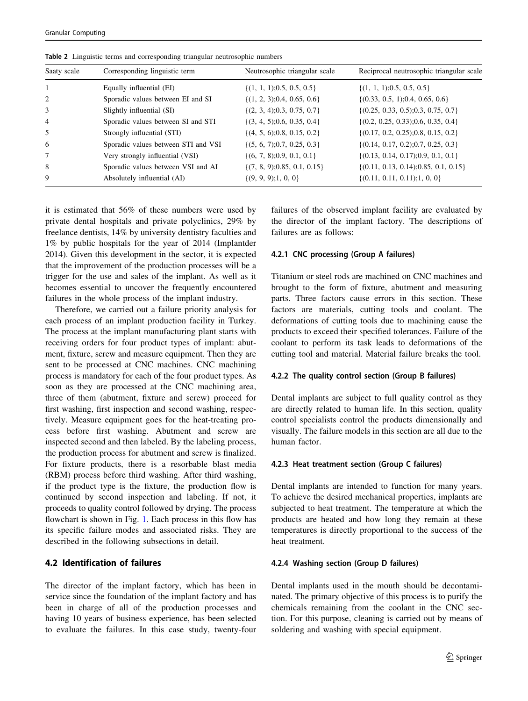| Saaty scale    | Corresponding linguistic term       | Neutrosophic triangular scale    | Reciprocal neutrosophic triangular scale  |
|----------------|-------------------------------------|----------------------------------|-------------------------------------------|
|                | Equally influential (EI)            | $\{(1, 1, 1), 0.5, 0.5, 0.5\}$   | $\{(1, 1, 1), 0.5, 0.5, 0.5\}$            |
| 2              | Sporadic values between EI and SI   | $\{(1, 2, 3), 0.4, 0.65, 0.6\}$  | $\{(0.33, 0.5, 1); 0.4, 0.65, 0.6\}$      |
| 3              | Slightly influential (SI)           | $\{(2, 3, 4), 0.3, 0.75, 0.7\}$  | $\{(0.25, 0.33, 0.5); 0.3, 0.75, 0.7\}$   |
| $\overline{4}$ | Sporadic values between SI and STI  | $\{(3, 4, 5), 0.6, 0.35, 0.4\}$  | $\{(0.2, 0.25, 0.33), 0.6, 0.35, 0.4\}$   |
| .5             | Strongly influential (STI)          | $\{(4, 5, 6), 0.8, 0.15, 0.2\}$  | $\{(0.17, 0.2, 0.25); 0.8, 0.15, 0.2\}$   |
| -6             | Sporadic values between STI and VSI | $\{(5, 6, 7), 0.7, 0.25, 0.3\}$  | $\{(0.14, 0.17, 0.2); 0.7, 0.25, 0.3\}$   |
| 7              | Very strongly influential (VSI)     | $\{(6, 7, 8), 0.9, 0.1, 0.1\}$   | $\{(0.13, 0.14, 0.17); 0.9, 0.1, 0.1\}$   |
| 8              | Sporadic values between VSI and AI  | $\{(7, 8, 9), 0.85, 0.1, 0.15\}$ | $\{(0.11, 0.13, 0.14); 0.85, 0.1, 0.15\}$ |
| 9              | Absolutely influential (AI)         | $\{(9, 9, 9); 1, 0, 0\}$         | $\{(0.11, 0.11, 0.11); 1, 0, 0\}$         |

<span id="page-6-0"></span>Table 2 Linguistic terms and corresponding triangular neutrosophic numbers

it is estimated that 56% of these numbers were used by private dental hospitals and private polyclinics, 29% by freelance dentists, 14% by university dentistry faculties and 1% by public hospitals for the year of 2014 (Implantder 2014). Given this development in the sector, it is expected that the improvement of the production processes will be a trigger for the use and sales of the implant. As well as it becomes essential to uncover the frequently encountered failures in the whole process of the implant industry.

Therefore, we carried out a failure priority analysis for each process of an implant production facility in Turkey. The process at the implant manufacturing plant starts with receiving orders for four product types of implant: abutment, fixture, screw and measure equipment. Then they are sent to be processed at CNC machines. CNC machining process is mandatory for each of the four product types. As soon as they are processed at the CNC machining area, three of them (abutment, fixture and screw) proceed for first washing, first inspection and second washing, respectively. Measure equipment goes for the heat-treating process before first washing. Abutment and screw are inspected second and then labeled. By the labeling process, the production process for abutment and screw is finalized. For fixture products, there is a resorbable blast media (RBM) process before third washing. After third washing, if the product type is the fixture, the production flow is continued by second inspection and labeling. If not, it proceeds to quality control followed by drying. The process flowchart is shown in Fig. [1](#page-7-0). Each process in this flow has its specific failure modes and associated risks. They are described in the following subsections in detail.

## 4.2 Identification of failures

The director of the implant factory, which has been in service since the foundation of the implant factory and has been in charge of all of the production processes and having 10 years of business experience, has been selected to evaluate the failures. In this case study, twenty-four failures of the observed implant facility are evaluated by the director of the implant factory. The descriptions of failures are as follows:

#### 4.2.1 CNC processing (Group A failures)

Titanium or steel rods are machined on CNC machines and brought to the form of fixture, abutment and measuring parts. Three factors cause errors in this section. These factors are materials, cutting tools and coolant. The deformations of cutting tools due to machining cause the products to exceed their specified tolerances. Failure of the coolant to perform its task leads to deformations of the cutting tool and material. Material failure breaks the tool.

#### 4.2.2 The quality control section (Group B failures)

Dental implants are subject to full quality control as they are directly related to human life. In this section, quality control specialists control the products dimensionally and visually. The failure models in this section are all due to the human factor.

#### 4.2.3 Heat treatment section (Group C failures)

Dental implants are intended to function for many years. To achieve the desired mechanical properties, implants are subjected to heat treatment. The temperature at which the products are heated and how long they remain at these temperatures is directly proportional to the success of the heat treatment.

#### 4.2.4 Washing section (Group D failures)

Dental implants used in the mouth should be decontaminated. The primary objective of this process is to purify the chemicals remaining from the coolant in the CNC section. For this purpose, cleaning is carried out by means of soldering and washing with special equipment.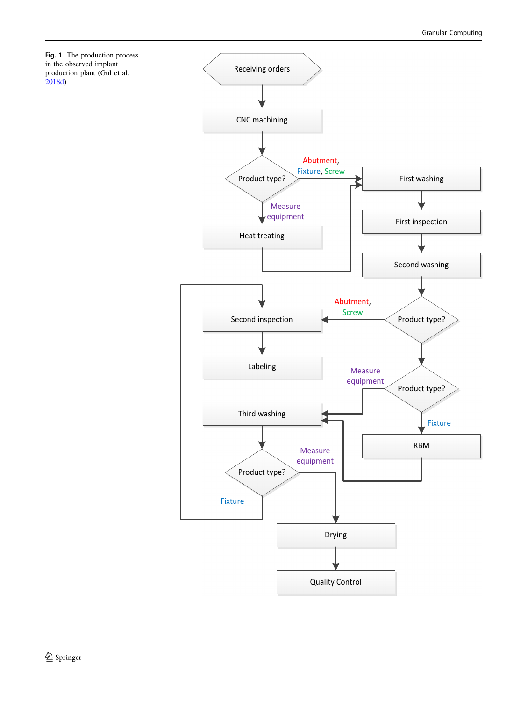<span id="page-7-0"></span>

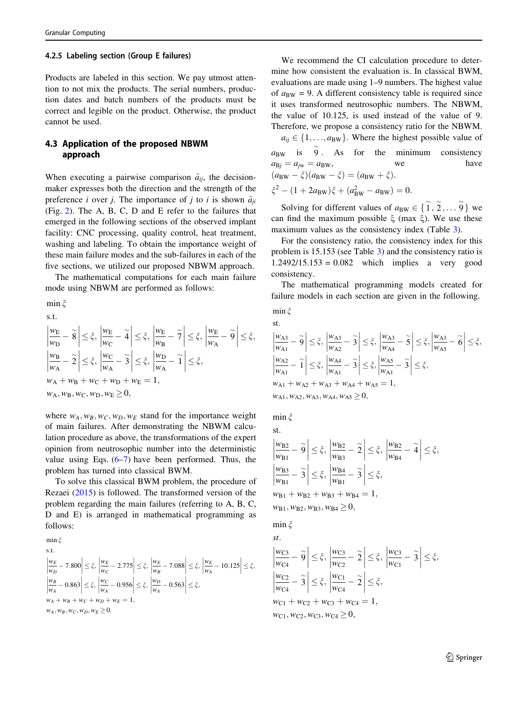#### 4.2.5 Labeling section (Group E failures)

Products are labeled in this section. We pay utmost attention to not mix the products. The serial numbers, production dates and batch numbers of the products must be correct and legible on the product. Otherwise, the product cannot be used.

## 4.3 Application of the proposed NBWM approach

When executing a pairwise comparison  $\tilde{a}_{ij}$ , the decisionmaker expresses both the direction and the strength of the preference *i* over *j*. The importance of *j* to *i* is shown  $\tilde{a}_{ji}$ (Fig. [2](#page-9-0)). The A, B, C, D and E refer to the failures that emerged in the following sections of the observed implant facility: CNC processing, quality control, heat treatment, washing and labeling. To obtain the importance weight of these main failure modes and the sub-failures in each of the five sections, we utilized our proposed NBWM approach.

The mathematical computations for each main failure mode using NBWM are performed as follows:

min $\xi$ s:t:

$$
\left| \frac{w_{\rm E}}{w_{\rm D}} - \tilde{8} \right| \leq \xi, \left| \frac{w_{\rm E}}{w_{\rm C}} - \tilde{4} \right| \leq \xi, \left| \frac{w_{\rm E}}{w_{\rm B}} - \tilde{7} \right| \leq \xi, \left| \frac{w_{\rm E}}{w_{\rm A}} - \tilde{9} \right| \leq \xi, \left| \frac{w_{\rm B}}{w_{\rm A}} - \tilde{2} \right| \leq \xi, \left| \frac{w_{\rm C}}{w_{\rm A}} - \tilde{3} \right| \leq \xi, \left| \frac{w_{\rm D}}{w_{\rm A}} - \tilde{1} \right| \leq \xi, w_{\rm A} + w_{\rm B} + w_{\rm C} + w_{\rm D} + w_{\rm E} = 1, w_{\rm A}, w_{\rm B}, w_{\rm C}, w_{\rm D}, w_{\rm E} \geq 0,
$$

where  $w_A$ ,  $w_B$ ,  $w_C$ ,  $w_D$ ,  $w_E$  stand for the importance weight of main failures. After demonstrating the NBWM calculation procedure as above, the transformations of the expert opinion from neutrosophic number into the deterministic value using Eqs.  $(6-7)$  have been performed. Thus, the problem has turned into classical BWM.

To solve this classical BWM problem, the procedure of Rezaei ([2015\)](#page-13-0) is followed. The transformed version of the problem regarding the main failures (referring to A, B, C, D and E) is arranged in mathematical programming as follows:

$$
\min_{\begin{subarray}{l} \forall x \in \mathbb{R} \\ |w_B - 7.800| < \xi, \\ \left| \frac{w_E}{w_D} - 7.800 \right| < \xi, \\ \left| \frac{w_E}{w_A} - 2.775 \right| < \xi, \\ \left| \frac{w_B}{w_A} - 0.863 \right| < \xi, \\ \left| \frac{w_C}{w_A} - 0.956 \right| < \xi, \\ \left| \frac{w_D}{w_A} - 0.563 \right| < \xi, \\ w_A + w_B + w_C + w_D + w_E = 1, \\ w_A, w_B, w_C, w_D, w_E \ge 0.
$$

We recommend the CI calculation procedure to determine how consistent the evaluation is. In classical BWM, evaluations are made using 1–9 numbers. The highest value of  $a_{BW} = 9$ . A different consistency table is required since it uses transformed neutrosophic numbers. The NBWM, the value of 10.125, is used instead of the value of 9. Therefore, we propose a consistency ratio for the NBWM.

 $a_{ij} \in \{1, \ldots, a_{BW}\}\.$  Where the highest possible value of  $a_{BW}$  is  $\tilde{9}$ . As for the minimum consistency  $a_{\text{B}i} = a_{\text{jw}} = a_{\text{BW}},$  we have  $(a_{\text{BW}} - \xi)(a_{\text{BW}} - \xi) = (a_{\text{BW}} + \xi).$  $\xi^2 - (1 + 2a_{BW})\xi + (a_{BW}^2 - a_{BW}) = 0.$ 

Solving for different values of  $a_{BW} \in \{ \tilde{1}, \tilde{2}, \ldots \tilde{9} \}$  we can find the maximum possible  $\xi$  (max  $\xi$ ). We use these maximum values as the consistency index (Table [3](#page-9-0)).

For the consistency ratio, the consistency index for this problem is 15.153 (see Table [3](#page-9-0)) and the consistency ratio is 1.2492/15.153 = 0.082 which implies a very good consistency.

The mathematical programming models created for failure models in each section are given in the following. min  $\zeta$ 

st:

$$
\begin{aligned}\n\left|\frac{w_{A3}}{w_{A1}} - \tilde{9}\right| &\leq \xi, \left|\frac{w_{A3}}{w_{A2}} - \tilde{3}\right| \leq \xi, \left|\frac{w_{A3}}{w_{A4}} - \tilde{5}\right| \leq \xi, \left|\frac{w_{A3}}{w_{A5}} - \tilde{6}\right| \leq \xi, \\
\left|\frac{w_{A2}}{w_{A1}} - \tilde{1}\right| &\leq \xi, \left|\frac{w_{A4}}{w_{A1}} - \tilde{3}\right| \leq \xi, \left|\frac{w_{A5}}{w_{A1}} - \tilde{3}\right| \leq \xi, \\
w_{A1} + w_{A2} + w_{A3} + w_{A4} + w_{A5} = 1, \\
w_{A1}, w_{A2}, w_{A3}, w_{A4}, w_{A5} \geq 0,\n\end{aligned}
$$

min  $\xi$ 

st.  
\n
$$
\left|\frac{w_{B2}}{w_{B1}} - \tilde{9}\right| \leq \xi, \left|\frac{w_{B2}}{w_{B3}} - \tilde{2}\right| \leq \xi, \left|\frac{w_{B2}}{w_{B4}} - \tilde{4}\right| \leq \xi,
$$
\n
$$
\left|\frac{w_{B3}}{w_{B1}} - \tilde{3}\right| \leq \xi, \left|\frac{w_{B4}}{w_{B1}} - \tilde{3}\right| \leq \xi,
$$
\n
$$
w_{B1} + w_{B2} + w_{B3} + w_{B4} = 1,
$$
\n
$$
w_{B1}, w_{B2}, w_{B3}, w_{B4} \geq 0,
$$

min  $\zeta$ 

$$
\begin{aligned}\n\left| \frac{w_{\text{C3}}}{w_{\text{C4}}} - \tilde{9} \right| &\leq \xi, \left| \frac{w_{\text{C3}}}{w_{\text{C2}}} - \tilde{2} \right| \leq \xi, \left| \frac{w_{\text{C3}}}{w_{\text{C1}}} - \tilde{3} \right| \leq \xi, \\
\left| \frac{w_{\text{C2}}}{w_{\text{C4}}} - \tilde{3} \right| &\leq \xi, \left| \frac{w_{\text{C1}}}{w_{\text{C4}}} - \tilde{2} \right| \leq \xi, \\
w_{\text{C1}} + w_{\text{C2}} + w_{\text{C3}} + w_{\text{C4}} &= 1, \\
w_{\text{C1}}, w_{\text{C2}}, w_{\text{C3}}, w_{\text{C4}} &\geq 0,\n\end{aligned}
$$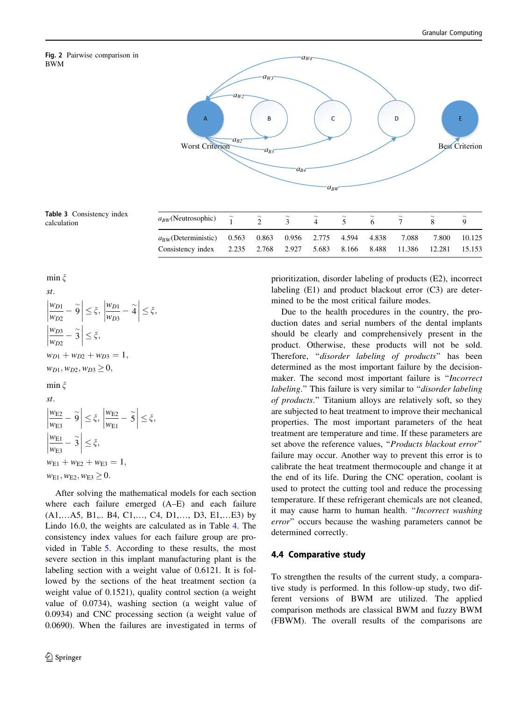# BWM

<span id="page-9-0"></span>

Table 3 Consistency index rable 5 Consistency much  $a_{BW}$  (Neutrosophic)

min  $\xi$ 

st.  
\n
$$
\left|\frac{w_{D1}}{w_{D2}} - \tilde{9}\right| \leq \xi, \left|\frac{w_{D1}}{w_{D3}} - \tilde{4}\right| \leq \xi,
$$
\n
$$
\left|\frac{w_{D3}}{w_{D2}} - \tilde{3}\right| \leq \xi,
$$
\n
$$
w_{D1} + w_{D2} + w_{D3} = 1,
$$
\n
$$
w_{D1}, w_{D2}, w_{D3} \geq 0,
$$
\n
$$
\min \xi
$$
\nst.  
\n
$$
\left|\frac{w_{E2}}{w_{E3}} - \tilde{9}\right| \leq \xi, \left|\frac{w_{E2}}{w_{E1}} - \tilde{5}\right| \leq \xi,
$$
\n
$$
\left|\frac{w_{E1}}{w_{E3}} - \tilde{3}\right| \leq \xi,
$$
\n
$$
w_{E1} + w_{E2} + w_{E3} = 1,
$$
\n
$$
w_{E1}, w_{E2}, w_{E3} \geq 0.
$$

After solving the mathematical models for each section where each failure emerged (A–E) and each failure (A1,…A5, B1,.. B4, C1,…, C4, D1,…, D3, E1,…E3) by Lindo 16.0, the weights are calculated as in Table [4](#page-10-0). The consistency index values for each failure group are provided in Table [5](#page-10-0). According to these results, the most severe section in this implant manufacturing plant is the labeling section with a weight value of 0.6121. It is followed by the sections of the heat treatment section (a weight value of 0.1521), quality control section (a weight value of 0.0734), washing section (a weight value of 0.0934) and CNC processing section (a weight value of 0.0690). When the failures are investigated in terms of prioritization, disorder labeling of products (E2), incorrect labeling (E1) and product blackout error (C3) are determined to be the most critical failure modes.

Due to the health procedures in the country, the production dates and serial numbers of the dental implants should be clearly and comprehensively present in the product. Otherwise, these products will not be sold. Therefore, "disorder labeling of products" has been determined as the most important failure by the decisionmaker. The second most important failure is "*Incorrect* labeling." This failure is very similar to "*disorder labeling* of products.'' Titanium alloys are relatively soft, so they are subjected to heat treatment to improve their mechanical properties. The most important parameters of the heat treatment are temperature and time. If these parameters are set above the reference values, "Products blackout error" failure may occur. Another way to prevent this error is to calibrate the heat treatment thermocouple and change it at the end of its life. During the CNC operation, coolant is used to protect the cutting tool and reduce the processing temperature. If these refrigerant chemicals are not cleaned, it may cause harm to human health. ''Incorrect washing error'' occurs because the washing parameters cannot be determined correctly.

## 4.4 Comparative study

To strengthen the results of the current study, a comparative study is performed. In this follow-up study, two different versions of BWM are utilized. The applied comparison methods are classical BWM and fuzzy BWM (FBWM). The overall results of the comparisons are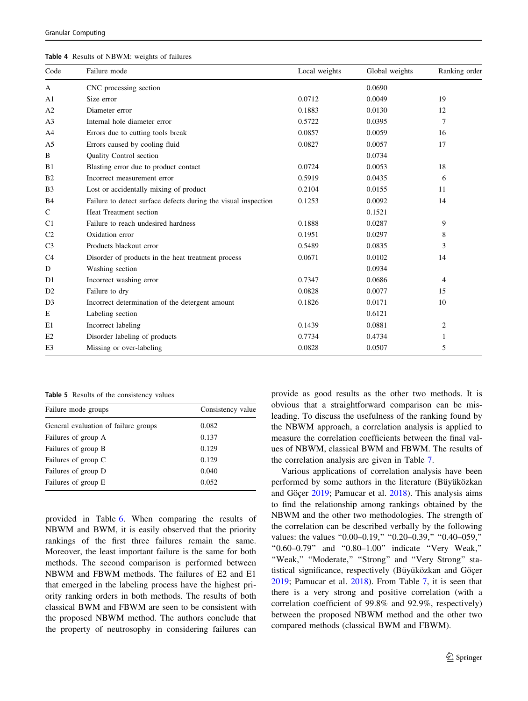<span id="page-10-0"></span>

| <b>Table 4</b> Results of NBWM: weights of failures |
|-----------------------------------------------------|
|-----------------------------------------------------|

| Code           | Failure mode                                                   | Local weights | Global weights | Ranking order |
|----------------|----------------------------------------------------------------|---------------|----------------|---------------|
| A              | CNC processing section                                         |               | 0.0690         |               |
| A <sub>1</sub> | Size error                                                     | 0.0712        | 0.0049         | 19            |
| A <sub>2</sub> | Diameter error                                                 | 0.1883        | 0.0130         | 12            |
| A <sub>3</sub> | Internal hole diameter error                                   | 0.5722        | 0.0395         | 7             |
| A <sub>4</sub> | Errors due to cutting tools break                              | 0.0857        | 0.0059         | 16            |
| A <sub>5</sub> | Errors caused by cooling fluid                                 | 0.0827        | 0.0057         | 17            |
| B              | <b>Ouality Control section</b>                                 |               | 0.0734         |               |
| B1             | Blasting error due to product contact                          | 0.0724        | 0.0053         | 18            |
| B <sub>2</sub> | Incorrect measurement error                                    | 0.5919        | 0.0435         | 6             |
| B <sub>3</sub> | Lost or accidentally mixing of product                         | 0.2104        | 0.0155         | 11            |
| <b>B4</b>      | Failure to detect surface defects during the visual inspection | 0.1253        | 0.0092         | 14            |
| $\mathsf{C}$   | Heat Treatment section                                         |               | 0.1521         |               |
| C <sub>1</sub> | Failure to reach undesired hardness                            | 0.1888        | 0.0287         | 9             |
| C <sub>2</sub> | Oxidation error                                                | 0.1951        | 0.0297         | 8             |
| C <sub>3</sub> | Products blackout error                                        | 0.5489        | 0.0835         | 3             |
| C <sub>4</sub> | Disorder of products in the heat treatment process             | 0.0671        | 0.0102         | 14            |
| D              | Washing section                                                |               | 0.0934         |               |
| D1             | Incorrect washing error                                        | 0.7347        | 0.0686         | 4             |
| D2             | Failure to dry                                                 | 0.0828        | 0.0077         | 15            |
| D <sub>3</sub> | Incorrect determination of the detergent amount                | 0.1826        | 0.0171         | 10            |
| Е              | Labeling section                                               |               | 0.6121         |               |
| E1             | Incorrect labeling                                             | 0.1439        | 0.0881         | 2             |
| E2             | Disorder labeling of products                                  | 0.7734        | 0.4734         | 1             |
| E3             | Missing or over-labeling                                       | 0.0828        | 0.0507         | 5             |

Table 5 Results of the consistency values

| Failure mode groups                  | Consistency value |
|--------------------------------------|-------------------|
| General evaluation of failure groups | 0.082             |
| Failures of group A                  | 0.137             |
| Failures of group B                  | 0.129             |
| Failures of group C                  | 0.129             |
| Failures of group D                  | 0.040             |
| Failures of group E                  | 0.052             |
|                                      |                   |

provided in Table [6](#page-11-0). When comparing the results of NBWM and BWM, it is easily observed that the priority rankings of the first three failures remain the same. Moreover, the least important failure is the same for both methods. The second comparison is performed between NBWM and FBWM methods. The failures of E2 and E1 that emerged in the labeling process have the highest priority ranking orders in both methods. The results of both classical BWM and FBWM are seen to be consistent with the proposed NBWM method. The authors conclude that the property of neutrosophy in considering failures can provide as good results as the other two methods. It is obvious that a straightforward comparison can be misleading. To discuss the usefulness of the ranking found by the NBWM approach, a correlation analysis is applied to measure the correlation coefficients between the final values of NBWM, classical BWM and FBWM. The results of the correlation analysis are given in Table [7.](#page-12-0)

Various applications of correlation analysis have been performed by some authors in the literature (Büyüközkan and Göçer [2019;](#page-12-0) Pamucar et al. [2018\)](#page-13-0). This analysis aims to find the relationship among rankings obtained by the NBWM and the other two methodologies. The strength of the correlation can be described verbally by the following values: the values "0.00-0.19," "0.20-0.39," "0.40-059," ''0.60–0.79'' and ''0.80–1.00'' indicate ''Very Weak,'' ''Weak,'' ''Moderate,'' ''Strong'' and ''Very Strong'' statistical significance, respectively (Büyüközkan and Göçer [2019](#page-12-0); Pamucar et al. [2018\)](#page-13-0). From Table [7,](#page-12-0) it is seen that there is a very strong and positive correlation (with a correlation coefficient of 99.8% and 92.9%, respectively) between the proposed NBWM method and the other two compared methods (classical BWM and FBWM).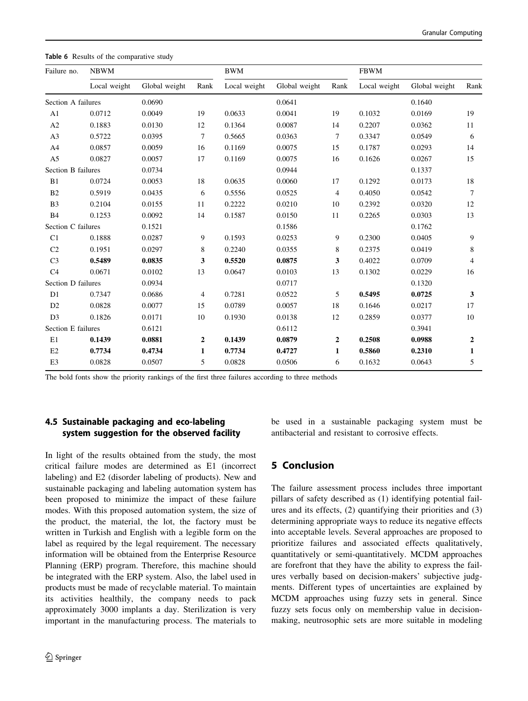| Failure no.               | <b>NBWM</b>  |               |      | <b>BWM</b>   |               |              | <b>FBWM</b>  |               |                |
|---------------------------|--------------|---------------|------|--------------|---------------|--------------|--------------|---------------|----------------|
|                           | Local weight | Global weight | Rank | Local weight | Global weight | Rank         | Local weight | Global weight | Rank           |
| Section A failures        |              | 0.0690        |      |              | 0.0641        |              |              | 0.1640        |                |
| A1                        | 0.0712       | 0.0049        | 19   | 0.0633       | 0.0041        | 19           | 0.1032       | 0.0169        | 19             |
| A2                        | 0.1883       | 0.0130        | 12   | 0.1364       | 0.0087        | 14           | 0.2207       | 0.0362        | 11             |
| A <sub>3</sub>            | 0.5722       | 0.0395        | 7    | 0.5665       | 0.0363        | 7            | 0.3347       | 0.0549        | 6              |
| A4                        | 0.0857       | 0.0059        | 16   | 0.1169       | 0.0075        | 15           | 0.1787       | 0.0293        | 14             |
| A <sub>5</sub>            | 0.0827       | 0.0057        | 17   | 0.1169       | 0.0075        | 16           | 0.1626       | 0.0267        | 15             |
| <b>Section B failures</b> |              | 0.0734        |      |              | 0.0944        |              |              | 0.1337        |                |
| B1                        | 0.0724       | 0.0053        | 18   | 0.0635       | 0.0060        | 17           | 0.1292       | 0.0173        | 18             |
| B2                        | 0.5919       | 0.0435        | 6    | 0.5556       | 0.0525        | 4            | 0.4050       | 0.0542        | 7              |
| B <sub>3</sub>            | 0.2104       | 0.0155        | 11   | 0.2222       | 0.0210        | 10           | 0.2392       | 0.0320        | 12             |
| <b>B4</b>                 | 0.1253       | 0.0092        | 14   | 0.1587       | 0.0150        | 11           | 0.2265       | 0.0303        | 13             |
| Section C failures        |              | 0.1521        |      |              | 0.1586        |              |              | 0.1762        |                |
| C1                        | 0.1888       | 0.0287        | 9    | 0.1593       | 0.0253        | 9            | 0.2300       | 0.0405        | 9              |
| C <sub>2</sub>            | 0.1951       | 0.0297        | 8    | 0.2240       | 0.0355        | 8            | 0.2375       | 0.0419        | 8              |
| C <sub>3</sub>            | 0.5489       | 0.0835        | 3    | 0.5520       | 0.0875        | 3            | 0.4022       | 0.0709        | $\overline{4}$ |
| C <sub>4</sub>            | 0.0671       | 0.0102        | 13   | 0.0647       | 0.0103        | 13           | 0.1302       | 0.0229        | 16             |
| Section D failures        |              | 0.0934        |      |              | 0.0717        |              |              | 0.1320        |                |
| D1                        | 0.7347       | 0.0686        | 4    | 0.7281       | 0.0522        | 5            | 0.5495       | 0.0725        | $\mathbf{3}$   |
| D2                        | 0.0828       | 0.0077        | 15   | 0.0789       | 0.0057        | 18           | 0.1646       | 0.0217        | 17             |
| D <sub>3</sub>            | 0.1826       | 0.0171        | 10   | 0.1930       | 0.0138        | 12           | 0.2859       | 0.0377        | 10             |
| Section E failures        |              | 0.6121        |      |              | 0.6112        |              |              | 0.3941        |                |
| E1                        | 0.1439       | 0.0881        | 2    | 0.1439       | 0.0879        | $\mathbf{2}$ | 0.2508       | 0.0988        | $\mathbf{2}$   |
| E2                        | 0.7734       | 0.4734        | 1    | 0.7734       | 0.4727        | $\mathbf{1}$ | 0.5860       | 0.2310        | $\mathbf{1}$   |
| E <sub>3</sub>            | 0.0828       | 0.0507        | 5    | 0.0828       | 0.0506        | 6            | 0.1632       | 0.0643        | 5              |
|                           |              |               |      |              |               |              |              |               |                |

<span id="page-11-0"></span>Table 6 Results of the comparative study

The bold fonts show the priority rankings of the first three failures according to three methods

## 4.5 Sustainable packaging and eco-labeling system suggestion for the observed facility

In light of the results obtained from the study, the most critical failure modes are determined as E1 (incorrect labeling) and E2 (disorder labeling of products). New and sustainable packaging and labeling automation system has been proposed to minimize the impact of these failure modes. With this proposed automation system, the size of the product, the material, the lot, the factory must be written in Turkish and English with a legible form on the label as required by the legal requirement. The necessary information will be obtained from the Enterprise Resource Planning (ERP) program. Therefore, this machine should be integrated with the ERP system. Also, the label used in products must be made of recyclable material. To maintain its activities healthily, the company needs to pack approximately 3000 implants a day. Sterilization is very important in the manufacturing process. The materials to

be used in a sustainable packaging system must be antibacterial and resistant to corrosive effects.

## 5 Conclusion

The failure assessment process includes three important pillars of safety described as (1) identifying potential failures and its effects, (2) quantifying their priorities and (3) determining appropriate ways to reduce its negative effects into acceptable levels. Several approaches are proposed to prioritize failures and associated effects qualitatively, quantitatively or semi-quantitatively. MCDM approaches are forefront that they have the ability to express the failures verbally based on decision-makers' subjective judgments. Different types of uncertainties are explained by MCDM approaches using fuzzy sets in general. Since fuzzy sets focus only on membership value in decisionmaking, neutrosophic sets are more suitable in modeling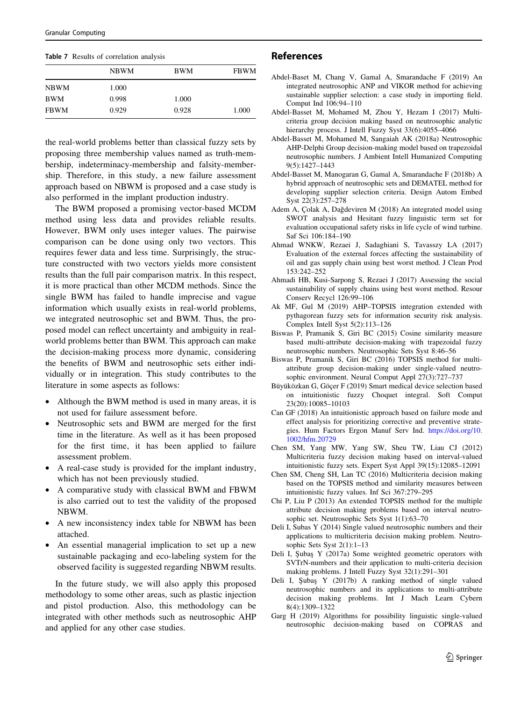<span id="page-12-0"></span>

|  |  |  | Table 7 Results of correlation analysis |  |
|--|--|--|-----------------------------------------|--|
|--|--|--|-----------------------------------------|--|

|             | NBWM  | BWM   | <b>FBWM</b> |
|-------------|-------|-------|-------------|
| <b>NBWM</b> | 1.000 |       |             |
| <b>BWM</b>  | 0.998 | 1.000 |             |
| <b>FBWM</b> | 0.929 | 0.928 | 1.000       |
|             |       |       |             |

the real-world problems better than classical fuzzy sets by proposing three membership values named as truth-membership, indeterminacy-membership and falsity-membership. Therefore, in this study, a new failure assessment approach based on NBWM is proposed and a case study is also performed in the implant production industry.

The BWM proposed a promising vector-based MCDM method using less data and provides reliable results. However, BWM only uses integer values. The pairwise comparison can be done using only two vectors. This requires fewer data and less time. Surprisingly, the structure constructed with two vectors yields more consistent results than the full pair comparison matrix. In this respect, it is more practical than other MCDM methods. Since the single BWM has failed to handle imprecise and vague information which usually exists in real-world problems, we integrated neutrosophic set and BWM. Thus, the proposed model can reflect uncertainty and ambiguity in realworld problems better than BWM. This approach can make the decision-making process more dynamic, considering the benefits of BWM and neutrosophic sets either individually or in integration. This study contributes to the literature in some aspects as follows:

- Although the BWM method is used in many areas, it is not used for failure assessment before.
- Neutrosophic sets and BWM are merged for the first time in the literature. As well as it has been proposed for the first time, it has been applied to failure assessment problem.
- A real-case study is provided for the implant industry, which has not been previously studied.
- A comparative study with classical BWM and FBWM is also carried out to test the validity of the proposed NBWM.
- A new inconsistency index table for NBWM has been attached.
- An essential managerial implication to set up a new sustainable packaging and eco-labeling system for the observed facility is suggested regarding NBWM results.

In the future study, we will also apply this proposed methodology to some other areas, such as plastic injection and pistol production. Also, this methodology can be integrated with other methods such as neutrosophic AHP and applied for any other case studies.

## References

- Abdel-Baset M, Chang V, Gamal A, Smarandache F (2019) An integrated neutrosophic ANP and VIKOR method for achieving sustainable supplier selection: a case study in importing field. Comput Ind 106:94–110
- Abdel-Basset M, Mohamed M, Zhou Y, Hezam I (2017) Multicriteria group decision making based on neutrosophic analytic hierarchy process. J Intell Fuzzy Syst 33(6):4055-4066
- Abdel-Basset M, Mohamed M, Sangaiah AK (2018a) Neutrosophic AHP-Delphi Group decision-making model based on trapezoidal neutrosophic numbers. J Ambient Intell Humanized Computing 9(5):1427–1443
- Abdel-Basset M, Manogaran G, Gamal A, Smarandache F (2018b) A hybrid approach of neutrosophic sets and DEMATEL method for developing supplier selection criteria. Design Autom Embed Syst 22(3):257–278
- Adem A, Çolak A, Dağdeviren M (2018) An integrated model using SWOT analysis and Hesitant fuzzy linguistic term set for evaluation occupational safety risks in life cycle of wind turbine. Saf Sci 106:184–190
- Ahmad WNKW, Rezaei J, Sadaghiani S, Tavasszy LA (2017) Evaluation of the external forces affecting the sustainability of oil and gas supply chain using best worst method. J Clean Prod 153:242–252
- Ahmadi HB, Kusi-Sarpong S, Rezaei J (2017) Assessing the social sustainability of supply chains using best worst method. Resour Conserv Recycl 126:99–106
- Ak MF, Gul M (2019) AHP–TOPSIS integration extended with pythagorean fuzzy sets for information security risk analysis. Complex Intell Syst 5(2):113–126
- Biswas P, Pramanik S, Giri BC (2015) Cosine similarity measure based multi-attribute decision-making with trapezoidal fuzzy neutrosophic numbers. Neutrosophic Sets Syst 8:46–56
- Biswas P, Pramanik S, Giri BC (2016) TOPSIS method for multiattribute group decision-making under single-valued neutrosophic environment. Neural Comput Appl 27(3):727–737
- Büyüközkan G, Göçer F (2019) Smart medical device selection based on intuitionistic fuzzy Choquet integral. Soft Comput 23(20):10085–10103
- Can GF (2018) An intuitionistic approach based on failure mode and effect analysis for prioritizing corrective and preventive strategies. Hum Factors Ergon Manuf Serv Ind. [https://doi.org/10.](https://doi.org/10.1002/hfm.20729) [1002/hfm.20729](https://doi.org/10.1002/hfm.20729)
- Chen SM, Yang MW, Yang SW, Sheu TW, Liau CJ (2012) Multicriteria fuzzy decision making based on interval-valued intuitionistic fuzzy sets. Expert Syst Appl 39(15):12085–12091
- Chen SM, Cheng SH, Lan TC (2016) Multicriteria decision making based on the TOPSIS method and similarity measures between intuitionistic fuzzy values. Inf Sci 367:279–295
- Chi P, Liu P (2013) An extended TOPSIS method for the multiple attribute decision making problems based on interval neutrosophic set. Neutrosophic Sets Syst 1(1):63–70
- Deli I, Subas Y (2014) Single valued neutrosophic numbers and their applications to multicriteria decision making problem. Neutrosophic Sets Syst 2(1):1–13
- Deli I, Şubaş Y (2017a) Some weighted geometric operators with SVTrN-numbers and their application to multi-criteria decision making problems. J Intell Fuzzy Syst 32(1):291–301
- Deli I, Şubaş Y (2017b) A ranking method of single valued neutrosophic numbers and its applications to multi-attribute decision making problems. Int J Mach Learn Cybern 8(4):1309–1322
- Garg H (2019) Algorithms for possibility linguistic single-valued neutrosophic decision-making based on COPRAS and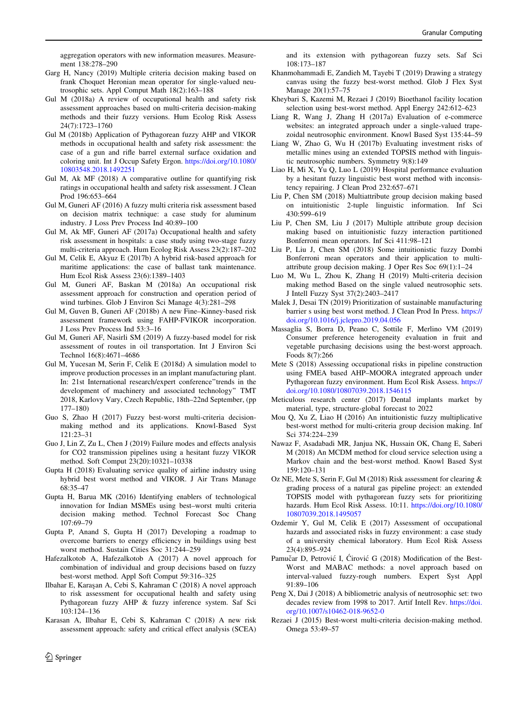<span id="page-13-0"></span>aggregation operators with new information measures. Measurement 138:278–290

- Garg H, Nancy (2019) Multiple criteria decision making based on frank Choquet Heronian mean operator for single-valued neutrosophic sets. Appl Comput Math 18(2):163–188
- Gul M (2018a) A review of occupational health and safety risk assessment approaches based on multi-criteria decision-making methods and their fuzzy versions. Hum Ecolog Risk Assess 24(7):1723–1760
- Gul M (2018b) Application of Pythagorean fuzzy AHP and VIKOR methods in occupational health and safety risk assessment: the case of a gun and rifle barrel external surface oxidation and coloring unit. Int J Occup Safety Ergon. [https://doi.org/10.1080/](https://doi.org/10.1080/10803548.2018.1492251) [10803548.2018.1492251](https://doi.org/10.1080/10803548.2018.1492251)
- Gul M, Ak MF (2018) A comparative outline for quantifying risk ratings in occupational health and safety risk assessment. J Clean Prod 196:653–664
- Gul M, Guneri AF (2016) A fuzzy multi criteria risk assessment based on decision matrix technique: a case study for aluminum industry. J Loss Prev Process Ind 40:89–100
- Gul M, Ak MF, Guneri AF (2017a) Occupational health and safety risk assessment in hospitals: a case study using two-stage fuzzy multi-criteria approach. Hum Ecolog Risk Assess 23(2):187–202
- Gul M, Celik E, Akyuz E (2017b) A hybrid risk-based approach for maritime applications: the case of ballast tank maintenance. Hum Ecol Risk Assess 23(6):1389–1403
- Gul M, Guneri AF, Baskan M (2018a) An occupational risk assessment approach for construction and operation period of wind turbines. Glob J Environ Sci Manage 4(3):281–298
- Gul M, Guven B, Guneri AF (2018b) A new Fine–Kinney-based risk assessment framework using FAHP-FVIKOR incorporation. J Loss Prev Process Ind 53:3–16
- Gul M, Guneri AF, Nasirli SM (2019) A fuzzy-based model for risk assessment of routes in oil transportation. Int J Environ Sci Technol 16(8):4671–4686
- Gul M, Yucesan M, Serin F, Celik E (2018d) A simulation model to improve production processes in an implant manufacturing plant. In: 21st International research/expert conference''trends in the development of machinery and associated technology'' TMT 2018, Karlovy Vary, Czech Republic, 18th–22nd September, (pp 177–180)
- Guo S, Zhao H (2017) Fuzzy best-worst multi-criteria decisionmaking method and its applications. Knowl-Based Syst 121:23–31
- Guo J, Lin Z, Zu L, Chen J (2019) Failure modes and effects analysis for CO2 transmission pipelines using a hesitant fuzzy VIKOR method. Soft Comput 23(20):10321–10338
- Gupta H (2018) Evaluating service quality of airline industry using hybrid best worst method and VIKOR. J Air Trans Manage 68:35–47
- Gupta H, Barua MK (2016) Identifying enablers of technological innovation for Indian MSMEs using best–worst multi criteria decision making method. Technol Forecast Soc Chang 107:69–79
- Gupta P, Anand S, Gupta H (2017) Developing a roadmap to overcome barriers to energy efficiency in buildings using best worst method. Sustain Cities Soc 31:244–259
- Hafezalkotob A, Hafezalkotob A (2017) A novel approach for combination of individual and group decisions based on fuzzy best-worst method. Appl Soft Comput 59:316–325
- Ilbahar E, Karas¸an A, Cebi S, Kahraman C (2018) A novel approach to risk assessment for occupational health and safety using Pythagorean fuzzy AHP & fuzzy inference system. Saf Sci 103:124–136
- Karasan A, Ilbahar E, Cebi S, Kahraman C (2018) A new risk assessment approach: safety and critical effect analysis (SCEA)

and its extension with pythagorean fuzzy sets. Saf Sci 108:173–187

- Khanmohammadi E, Zandieh M, Tayebi T (2019) Drawing a strategy canvas using the fuzzy best-worst method. Glob J Flex Syst Manage 20(1):57–75
- Kheybari S, Kazemi M, Rezaei J (2019) Bioethanol facility location selection using best-worst method. Appl Energy 242:612–623
- Liang R, Wang J, Zhang H (2017a) Evaluation of e-commerce websites: an integrated approach under a single-valued trapezoidal neutrosophic environment. Knowl Based Syst 135:44–59
- Liang W, Zhao G, Wu H (2017b) Evaluating investment risks of metallic mines using an extended TOPSIS method with linguistic neutrosophic numbers. Symmetry 9(8):149
- Liao H, Mi X, Yu Q, Luo L (2019) Hospital performance evaluation by a hesitant fuzzy linguistic best worst method with inconsistency repairing. J Clean Prod 232:657–671
- Liu P, Chen SM (2018) Multiattribute group decision making based on intuitionistic 2-tuple linguistic information. Inf Sci 430:599–619
- Liu P, Chen SM, Liu J (2017) Multiple attribute group decision making based on intuitionistic fuzzy interaction partitioned Bonferroni mean operators. Inf Sci 411:98–121
- Liu P, Liu J, Chen SM (2018) Some intuitionistic fuzzy Dombi Bonferroni mean operators and their application to multiattribute group decision making. J Oper Res Soc 69(1):1–24
- Luo M, Wu L, Zhou K, Zhang H (2019) Multi-criteria decision making method Based on the single valued neutrosophic sets. J Intell Fuzzy Syst 37(2):2403–2417
- Malek J, Desai TN (2019) Prioritization of sustainable manufacturing barrier s using best worst method. J Clean Prod In Press. [https://](https://doi.org/10.1016/j.jclepro.2019.04.056) [doi.org/10.1016/j.jclepro.2019.04.056](https://doi.org/10.1016/j.jclepro.2019.04.056)
- Massaglia S, Borra D, Peano C, Sottile F, Merlino VM (2019) Consumer preference heterogeneity evaluation in fruit and vegetable purchasing decisions using the best-worst approach. Foods 8(7):266
- Mete S (2018) Assessing occupational risks in pipeline construction using FMEA based AHP–MOORA integrated approach under Pythagorean fuzzy environment. Hum Ecol Risk Assess. [https://](https://doi.org/10.1080/10807039.2018.1546115) [doi.org/10.1080/10807039.2018.1546115](https://doi.org/10.1080/10807039.2018.1546115)
- Meticulous research center (2017) Dental implants market by material, type, structure-global forecast to 2022
- Mou Q, Xu Z, Liao H (2016) An intuitionistic fuzzy multiplicative best-worst method for multi-criteria group decision making. Inf Sci 374:224–239
- Nawaz F, Asadabadi MR, Janjua NK, Hussain OK, Chang E, Saberi M (2018) An MCDM method for cloud service selection using a Markov chain and the best-worst method. Knowl Based Syst 159:120–131
- Oz NE, Mete S, Serin F, Gul M (2018) Risk assessment for clearing & grading process of a natural gas pipeline project: an extended TOPSIS model with pythagorean fuzzy sets for prioritizing hazards. Hum Ecol Risk Assess. 10:11. [https://doi.org/10.1080/](https://doi.org/10.1080/10807039.2018.1495057) [10807039.2018.1495057](https://doi.org/10.1080/10807039.2018.1495057)
- Ozdemir Y, Gul M, Celik E (2017) Assessment of occupational hazards and associated risks in fuzzy environment: a case study of a university chemical laboratory. Hum Ecol Risk Assess 23(4):895–924
- Pamučar D, Petrović I, Ćirović G (2018) Modification of the Best-Worst and MABAC methods: a novel approach based on interval-valued fuzzy-rough numbers. Expert Syst Appl 91:89–106
- Peng X, Dai J (2018) A bibliometric analysis of neutrosophic set: two decades review from 1998 to 2017. Artif Intell Rev. [https://doi.](https://doi.org/10.1007/s10462-018-9652-0) [org/10.1007/s10462-018-9652-0](https://doi.org/10.1007/s10462-018-9652-0)
- Rezaei J (2015) Best-worst multi-criteria decision-making method. Omega 53:49–57